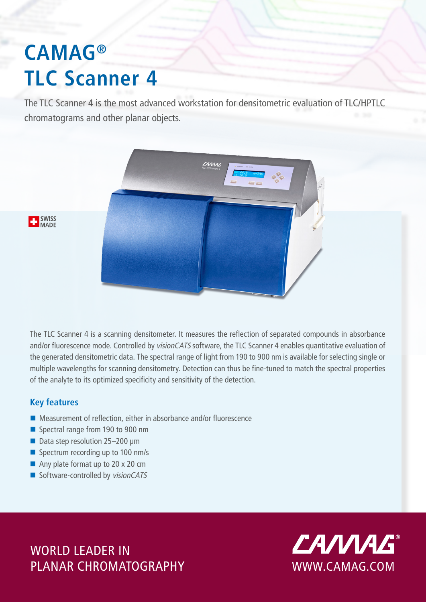# **CAMAG® TLC Scanner 4**

The TLC Scanner 4 is the most advanced workstation for densitometric evaluation of TLC/HPTLC chromatograms and other planar objects.



**T** SWISS

The TLC Scanner 4 is a scanning densitometer. It measures the reflection of separated compounds in absorbance and/or fluorescence mode. Controlled by visionCATS software, the TLC Scanner 4 enables quantitative evaluation of the generated densitometric data. The spectral range of light from 190 to 900 nm is available for selecting single or multiple wavelengths for scanning densitometry. Detection can thus be fine-tuned to match the spectral properties of the analyte to its optimized specificity and sensitivity of the detection.

### **Key features**

- Measurement of reflection, either in absorbance and/or fluorescence
- Spectral range from 190 to 900 nm
- Data step resolution 25-200 μm
- Spectrum recording up to 100 nm/s
- Any plate format up to 20 x 20 cm
- Software-controlled by visionCATS

WORLD LEADER IN WORLD LEADER IN PLANAR CHROMATOGRAPHYWWWW.CAMAG.COM